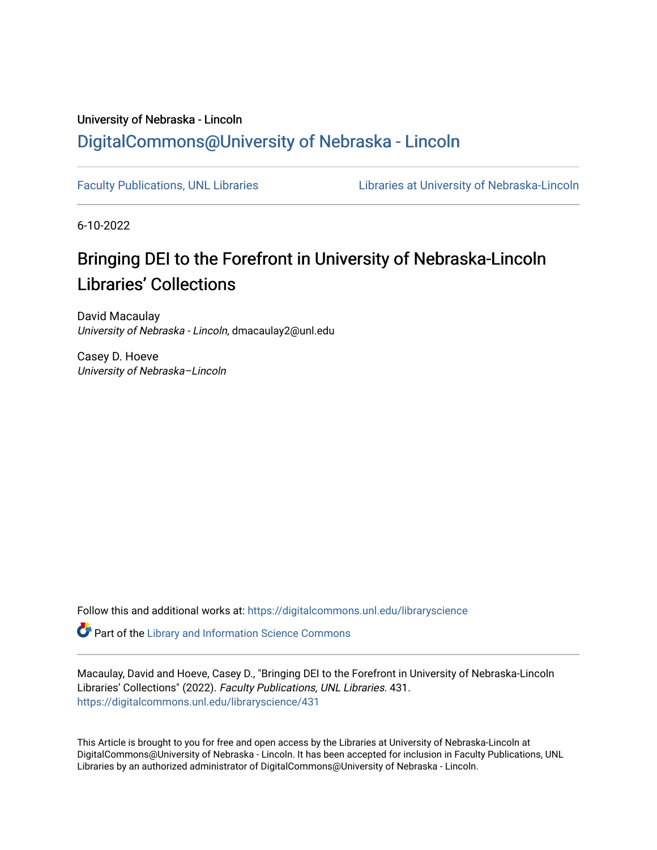## University of Nebraska - Lincoln [DigitalCommons@University of Nebraska - Lincoln](https://digitalcommons.unl.edu/)

[Faculty Publications, UNL Libraries](https://digitalcommons.unl.edu/libraryscience) **Libraries Libraries at University of Nebraska-Lincoln** 

6-10-2022

## Bringing DEI to the Forefront in University of Nebraska-Lincoln Libraries' Collections

David Macaulay University of Nebraska - Lincoln, dmacaulay2@unl.edu

Casey D. Hoeve University of Nebraska–Lincoln

Follow this and additional works at: [https://digitalcommons.unl.edu/libraryscience](https://digitalcommons.unl.edu/libraryscience?utm_source=digitalcommons.unl.edu%2Flibraryscience%2F431&utm_medium=PDF&utm_campaign=PDFCoverPages)

**Part of the Library and Information Science Commons** 

Macaulay, David and Hoeve, Casey D., "Bringing DEI to the Forefront in University of Nebraska-Lincoln Libraries' Collections" (2022). Faculty Publications, UNL Libraries. 431. [https://digitalcommons.unl.edu/libraryscience/431](https://digitalcommons.unl.edu/libraryscience/431?utm_source=digitalcommons.unl.edu%2Flibraryscience%2F431&utm_medium=PDF&utm_campaign=PDFCoverPages)

This Article is brought to you for free and open access by the Libraries at University of Nebraska-Lincoln at DigitalCommons@University of Nebraska - Lincoln. It has been accepted for inclusion in Faculty Publications, UNL Libraries by an authorized administrator of DigitalCommons@University of Nebraska - Lincoln.